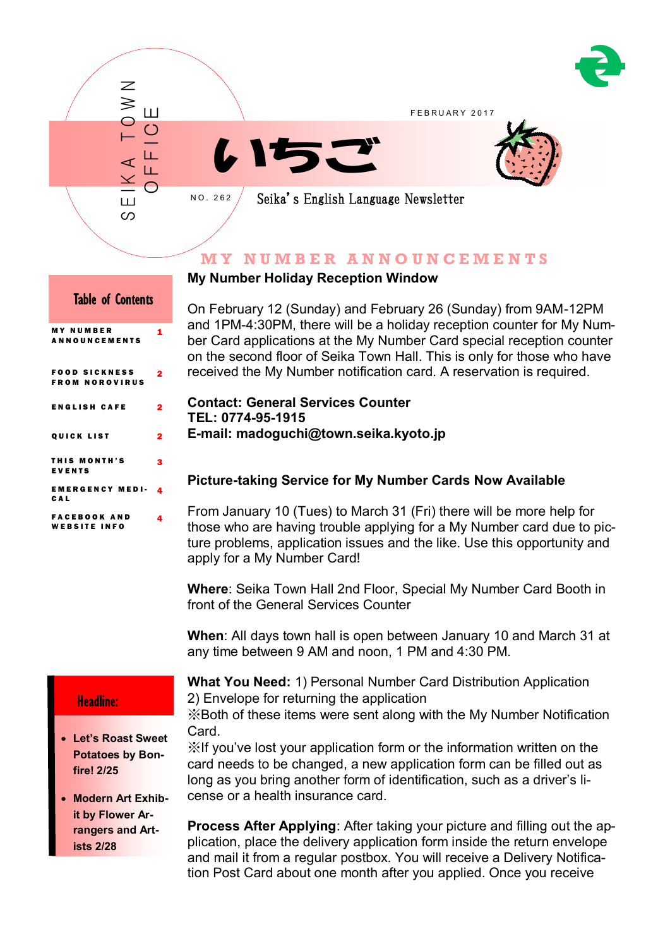



# **M Y N U M B E R A N N O U N C E M E N T S**

# **My Number Holiday Reception Window**

On February 12 (Sunday) and February 26 (Sunday) from 9AM-12PM and 1PM-4:30PM, there will be a holiday reception counter for My Number Card applications at the My Number Card special reception counter on the second floor of Seika Town Hall. This is only for those who have received the My Number notification card. A reservation is required.

#### **Contact: General Services Counter TEL: 0774-95-1915 E-mail: madoguchi@town.seika.kyoto.jp**

# **Picture-taking Service for My Number Cards Now Available**

From January 10 (Tues) to March 31 (Fri) there will be more help for those who are having trouble applying for a My Number card due to picture problems, application issues and the like. Use this opportunity and apply for a My Number Card!

**Where**: Seika Town Hall 2nd Floor, Special My Number Card Booth in front of the General Services Counter

**When**: All days town hall is open between January 10 and March 31 at any time between 9 AM and noon, 1 PM and 4:30 PM.

## Headline:

٦

 **Let's Roast Sweet Potatoes by Bonfire! 2/25**

 **Modern Art Exhibit by Flower Arrangers and Artists 2/28**

**What You Need:** 1) Personal Number Card Distribution Application 2) Envelope for returning the application

※Both of these items were sent along with the My Number Notification Card.

※If you've lost your application form or the information written on the card needs to be changed, a new application form can be filled out as long as you bring another form of identification, such as a driver's license or a health insurance card.

**Process After Applying**: After taking your picture and filling out the application, place the delivery application form inside the return envelope and mail it from a regular postbox. You will receive a Delivery Notification Post Card about one month after you applied. Once you receive

# Table of Contents M Y N U M B E R

1

N N O U N O E M

| ______________                  |   |
|---------------------------------|---|
| FOOD SICKNESS<br>FROM NOROVIRUS | 2 |
| ENGLISH CAFE                    | 2 |
| OUICK LIST                      | 2 |
| THIS MONTH'S<br>EVENTS          | з |
| EMERGENCY MEDI-<br>CAL          | 4 |
| FACEBOOK AND<br>WEBSITE INFO    | 4 |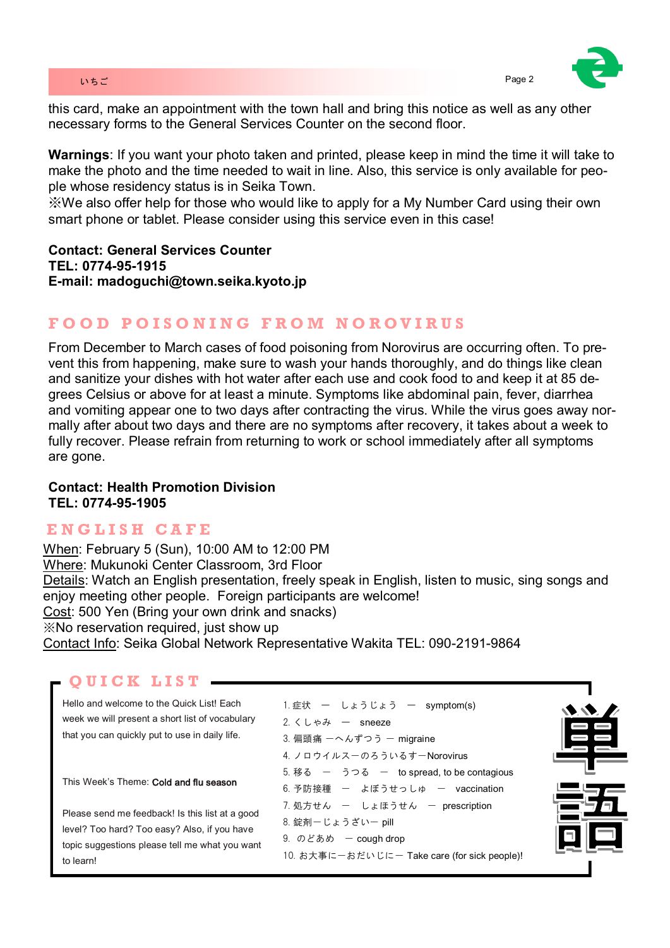#### いちご Page 2 とのこと Page 2 とのこと Page 2 とのこと Page 2 とのこと Page 2 とのこと Page 2

this card, make an appointment with the town hall and bring this notice as well as any other necessary forms to the General Services Counter on the second floor.

**Warnings**: If you want your photo taken and printed, please keep in mind the time it will take to make the photo and the time needed to wait in line. Also, this service is only available for people whose residency status is in Seika Town.

※We also offer help for those who would like to apply for a My Number Card using their own smart phone or tablet. Please consider using this service even in this case!

**Contact: General Services Counter TEL: 0774-95-1915 E-mail: madoguchi@town.seika.kyoto.jp**

# **F O O D P O I S O N I N G F R O M N O R O V I R U S**

From December to March cases of food poisoning from Norovirus are occurring often. To prevent this from happening, make sure to wash your hands thoroughly, and do things like clean and sanitize your dishes with hot water after each use and cook food to and keep it at 85 degrees Celsius or above for at least a minute. Symptoms like abdominal pain, fever, diarrhea and vomiting appear one to two days after contracting the virus. While the virus goes away normally after about two days and there are no symptoms after recovery, it takes about a week to fully recover. Please refrain from returning to work or school immediately after all symptoms are gone.

#### **Contact: Health Promotion Division TEL: 0774-95-1905**

# **E N G L I S H C A F E**

When: February 5 (Sun), 10:00 AM to 12:00 PM Where: Mukunoki Center Classroom, 3rd Floor Details: Watch an English presentation, freely speak in English, listen to music, sing songs and enjoy meeting other people. Foreign participants are welcome! Cost: 500 Yen (Bring your own drink and snacks) ※No reservation required, just show up Contact Info: Seika Global Network Representative Wakita TEL: 090-2191-9864

# **Q U I C K L I S T**

Hello and welcome to the Quick List! Each week we will present a short list of vocabulary that you can quickly put to use in daily life.

This Week's Theme: Cold and flu season

Please send me feedback! Is this list at a good level? Too hard? Too easy? Also, if you have topic suggestions please tell me what you want to learn!

| 1.症状 ー しょうじょう ー symptom(s)                           |
|------------------------------------------------------|
| 2. $\langle L \uplus \partial \psi \rangle$ - sneeze |
| 3. 偏頭痛 ーへんずつう ー migraine                             |
| 4. ノロウイルスーのろういるすーNorovirus                           |
| 5. 移る 一 うつる 一 to spread, to be contagious            |
| 6.予防接種 ー よぼうせっしゅ ー vaccination                       |
| 7.処方せん ー しょほうせん ー prescription                       |
| 8. 錠剤ーじょうざいー pill                                    |
| 9. のどあめ – cough drop                                 |
| 10. お大事に一おだいじにー Take care (for sick people)!         |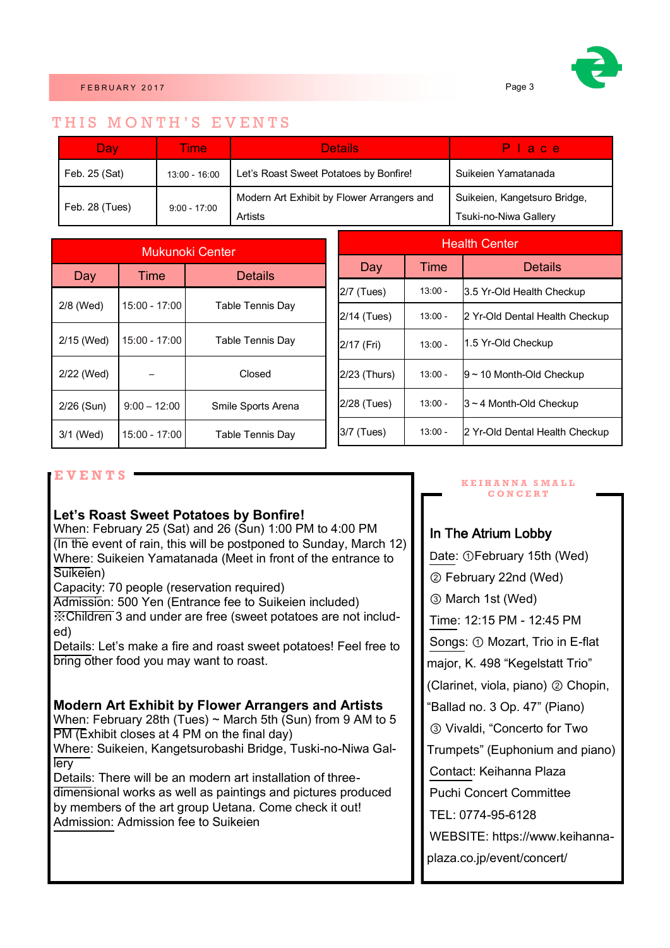

## THIS MONTH'S EVENTS

| <b>Dav</b>     | Time            | Details                                    | lia diel                     |  |
|----------------|-----------------|--------------------------------------------|------------------------------|--|
| Feb. 25 (Sat)  | $13:00 - 16:00$ | Let's Roast Sweet Potatoes by Bonfire!     | Suikeien Yamatanada          |  |
| Feb. 28 (Tues) | $9:00 - 17:00$  | Modern Art Exhibit by Flower Arrangers and | Suikeien, Kangetsuro Bridge, |  |
|                |                 | Artists                                    | Tsuki-no-Niwa Gallery        |  |

| Mukunoki Center |                 |                         |  |
|-----------------|-----------------|-------------------------|--|
| Day             | Time            | Details                 |  |
| 2/8 (Wed)       | $15:00 - 17:00$ | <b>Table Tennis Day</b> |  |
| 2/15 (Wed)      | $15:00 - 17:00$ | <b>Table Tennis Day</b> |  |
| 2/22 (Wed)      |                 | Closed                  |  |
| 2/26 (Sun)      | $9:00 - 12:00$  | Smile Sports Arena      |  |
| 3/1 (Wed)       | 15:00 - 17:00   | <b>Table Tennis Day</b> |  |

| <b>Health Center</b> |           |                                |  |
|----------------------|-----------|--------------------------------|--|
| Day                  | Time      | <b>Details</b>                 |  |
| 2/7 (Tues)           | $13:00 -$ | 3.5 Yr-Old Health Checkup      |  |
| 2/14 (Tues)          | $13:00 -$ | 2 Yr-Old Dental Health Checkup |  |
| 2/17 (Fri)           | $13:00 -$ | 1.5 Yr-Old Checkup             |  |
| 2/23 (Thurs)         | $13:00 -$ | $9$ ~ 10 Month-Old Checkup     |  |
| 2/28 (Tues)          | $13:00 -$ | $3 \sim 4$ Month-Old Checkup   |  |
| 3/7 (Tues)           | $13:00 -$ | 2 Yr-Old Dental Health Checkup |  |

## **E V E N T S**

#### **Let's Roast Sweet Potatoes by Bonfire!**

When: February 25 (Sat) and 26 (Sun) 1:00 PM to 4:00 PM (In the event of rain, this will be postponed to Sunday, March 12) Where: Suikeien Yamatanada (Meet in front of the entrance to Suikeien)

Capacity: 70 people (reservation required)

Admission: 500 Yen (Entrance fee to Suikeien included) ※Children 3 and under are free (sweet potatoes are not included)

Details: Let's make a fire and roast sweet potatoes! Feel free to bring other food you may want to roast.

#### **Modern Art Exhibit by Flower Arrangers and Artists**

When: February 28th (Tues) ~ March 5th (Sun) from 9 AM to 5 PM (Exhibit closes at 4 PM on the final day) Where: Suikeien, Kangetsurobashi Bridge, Tuski-no-Niwa Gal-

lery Details: There will be an modern art installation of threedimensional works as well as paintings and pictures produced by members of the art group Uetana. Come check it out! Admission: Admission fee to Suikeien

#### **K E I H A N N A S M A L L C O N C E R T**

## In The Atrium Lobby

Date: ①February 15th (Wed) ② February 22nd (Wed) ③ March 1st (Wed) Time: 12:15 PM - 12:45 PM Songs: ① Mozart, Trio in E-flat major, K. 498 "Kegelstatt Trio" (Clarinet, viola, piano) ② Chopin, "Ballad no. 3 Op. 47" (Piano) ③ Vivaldi, "Concerto for Two Trumpets" (Euphonium and piano) Contact: Keihanna Plaza Puchi Concert Committee TEL: 0774-95-6128 WEBSITE: https://www.keihannaplaza.co.jp/event/concert/